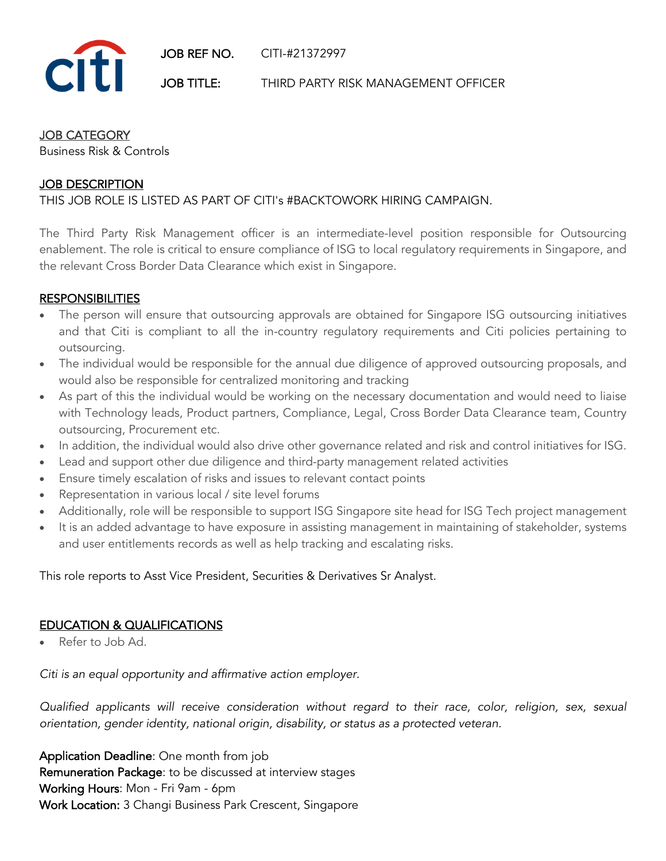

### JOB CATEGORY

Business Risk & Controls

# JOB DESCRIPTION

### THIS JOB ROLE IS LISTED AS PART OF CITI's #BACKTOWORK HIRING CAMPAIGN.

The Third Party Risk Management officer is an intermediate-level position responsible for Outsourcing enablement. The role is critical to ensure compliance of ISG to local regulatory requirements in Singapore, and the relevant Cross Border Data Clearance which exist in Singapore.

### **RESPONSIBILITIES**

- The person will ensure that outsourcing approvals are obtained for Singapore ISG outsourcing initiatives and that Citi is compliant to all the in-country regulatory requirements and Citi policies pertaining to outsourcing.
- The individual would be responsible for the annual due diligence of approved outsourcing proposals, and would also be responsible for centralized monitoring and tracking
- As part of this the individual would be working on the necessary documentation and would need to liaise with Technology leads, Product partners, Compliance, Legal, Cross Border Data Clearance team, Country outsourcing, Procurement etc.
- In addition, the individual would also drive other governance related and risk and control initiatives for ISG.
- Lead and support other due diligence and third-party management related activities
- Ensure timely escalation of risks and issues to relevant contact points
- Representation in various local / site level forums
- Additionally, role will be responsible to support ISG Singapore site head for ISG Tech project management
- It is an added advantage to have exposure in assisting management in maintaining of stakeholder, systems and user entitlements records as well as help tracking and escalating risks.

This role reports to Asst Vice President, Securities & Derivatives Sr Analyst.

# EDUCATION & QUALIFICATIONS

• Refer to Job Ad.

*Citi is an equal opportunity and affirmative action employer.*

*Qualified applicants will receive consideration without regard to their race, color, religion, sex, sexual orientation, gender identity, national origin, disability, or status as a protected veteran.*

Application Deadline: One month from job Remuneration Package: to be discussed at interview stages Working Hours: Mon - Fri 9am - 6pm Work Location: 3 Changi Business Park Crescent, Singapore